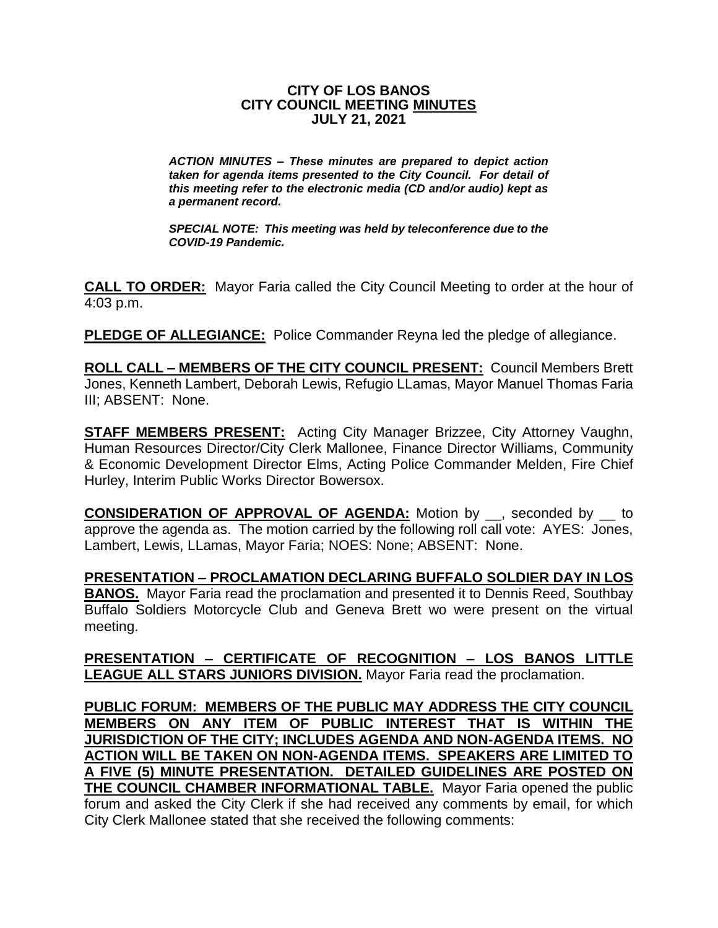#### **CITY OF LOS BANOS CITY COUNCIL MEETING MINUTES JULY 21, 2021**

*ACTION MINUTES – These minutes are prepared to depict action taken for agenda items presented to the City Council. For detail of this meeting refer to the electronic media (CD and/or audio) kept as a permanent record.*

*SPECIAL NOTE: This meeting was held by teleconference due to the COVID-19 Pandemic.*

**CALL TO ORDER:** Mayor Faria called the City Council Meeting to order at the hour of 4:03 p.m.

**PLEDGE OF ALLEGIANCE:** Police Commander Reyna led the pledge of allegiance.

**ROLL CALL – MEMBERS OF THE CITY COUNCIL PRESENT:** Council Members Brett Jones, Kenneth Lambert, Deborah Lewis, Refugio LLamas, Mayor Manuel Thomas Faria III; ABSENT: None.

**STAFF MEMBERS PRESENT:** Acting City Manager Brizzee, City Attorney Vaughn, Human Resources Director/City Clerk Mallonee, Finance Director Williams, Community & Economic Development Director Elms, Acting Police Commander Melden, Fire Chief Hurley, Interim Public Works Director Bowersox.

**CONSIDERATION OF APPROVAL OF AGENDA:** Motion by \_\_, seconded by \_\_ to approve the agenda as. The motion carried by the following roll call vote: AYES: Jones, Lambert, Lewis, LLamas, Mayor Faria; NOES: None; ABSENT: None.

**PRESENTATION – PROCLAMATION DECLARING BUFFALO SOLDIER DAY IN LOS BANOS.** Mayor Faria read the proclamation and presented it to Dennis Reed, Southbay Buffalo Soldiers Motorcycle Club and Geneva Brett wo were present on the virtual meeting.

**PRESENTATION – CERTIFICATE OF RECOGNITION – LOS BANOS LITTLE LEAGUE ALL STARS JUNIORS DIVISION.** Mayor Faria read the proclamation.

**PUBLIC FORUM: MEMBERS OF THE PUBLIC MAY ADDRESS THE CITY COUNCIL MEMBERS ON ANY ITEM OF PUBLIC INTEREST THAT IS WITHIN THE JURISDICTION OF THE CITY; INCLUDES AGENDA AND NON-AGENDA ITEMS. NO ACTION WILL BE TAKEN ON NON-AGENDA ITEMS. SPEAKERS ARE LIMITED TO A FIVE (5) MINUTE PRESENTATION. DETAILED GUIDELINES ARE POSTED ON THE COUNCIL CHAMBER INFORMATIONAL TABLE.** Mayor Faria opened the public forum and asked the City Clerk if she had received any comments by email, for which City Clerk Mallonee stated that she received the following comments: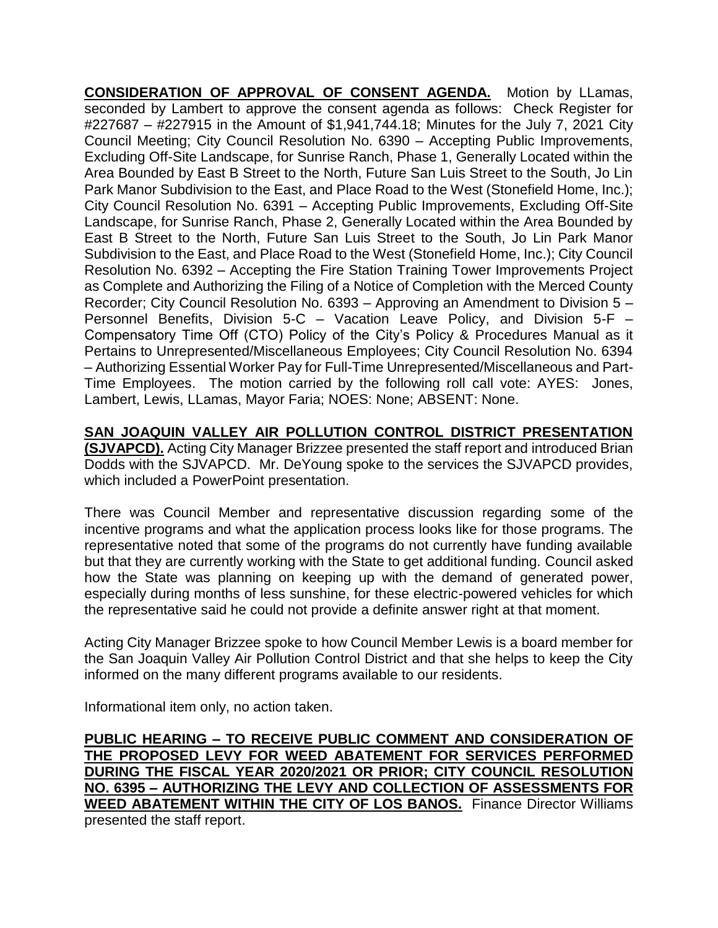**CONSIDERATION OF APPROVAL OF CONSENT AGENDA.** Motion by LLamas, seconded by Lambert to approve the consent agenda as follows: Check Register for #227687 – #227915 in the Amount of \$1,941,744.18; Minutes for the July 7, 2021 City Council Meeting; City Council Resolution No. 6390 – Accepting Public Improvements, Excluding Off-Site Landscape, for Sunrise Ranch, Phase 1, Generally Located within the Area Bounded by East B Street to the North, Future San Luis Street to the South, Jo Lin Park Manor Subdivision to the East, and Place Road to the West (Stonefield Home, Inc.); City Council Resolution No. 6391 – Accepting Public Improvements, Excluding Off-Site Landscape, for Sunrise Ranch, Phase 2, Generally Located within the Area Bounded by East B Street to the North, Future San Luis Street to the South, Jo Lin Park Manor Subdivision to the East, and Place Road to the West (Stonefield Home, Inc.); City Council Resolution No. 6392 – Accepting the Fire Station Training Tower Improvements Project as Complete and Authorizing the Filing of a Notice of Completion with the Merced County Recorder; City Council Resolution No. 6393 – Approving an Amendment to Division 5 – Personnel Benefits, Division 5-C – Vacation Leave Policy, and Division 5-F – Compensatory Time Off (CTO) Policy of the City's Policy & Procedures Manual as it Pertains to Unrepresented/Miscellaneous Employees; City Council Resolution No. 6394 – Authorizing Essential Worker Pay for Full-Time Unrepresented/Miscellaneous and Part-Time Employees. The motion carried by the following roll call vote: AYES: Jones, Lambert, Lewis, LLamas, Mayor Faria; NOES: None; ABSENT: None.

**SAN JOAQUIN VALLEY AIR POLLUTION CONTROL DISTRICT PRESENTATION (SJVAPCD).** Acting City Manager Brizzee presented the staff report and introduced Brian Dodds with the SJVAPCD. Mr. DeYoung spoke to the services the SJVAPCD provides, which included a PowerPoint presentation.

There was Council Member and representative discussion regarding some of the incentive programs and what the application process looks like for those programs. The representative noted that some of the programs do not currently have funding available but that they are currently working with the State to get additional funding. Council asked how the State was planning on keeping up with the demand of generated power, especially during months of less sunshine, for these electric-powered vehicles for which the representative said he could not provide a definite answer right at that moment.

Acting City Manager Brizzee spoke to how Council Member Lewis is a board member for the San Joaquin Valley Air Pollution Control District and that she helps to keep the City informed on the many different programs available to our residents.

Informational item only, no action taken.

**PUBLIC HEARING – TO RECEIVE PUBLIC COMMENT AND CONSIDERATION OF THE PROPOSED LEVY FOR WEED ABATEMENT FOR SERVICES PERFORMED DURING THE FISCAL YEAR 2020/2021 OR PRIOR; CITY COUNCIL RESOLUTION NO. 6395 – AUTHORIZING THE LEVY AND COLLECTION OF ASSESSMENTS FOR WEED ABATEMENT WITHIN THE CITY OF LOS BANOS.** Finance Director Williams presented the staff report.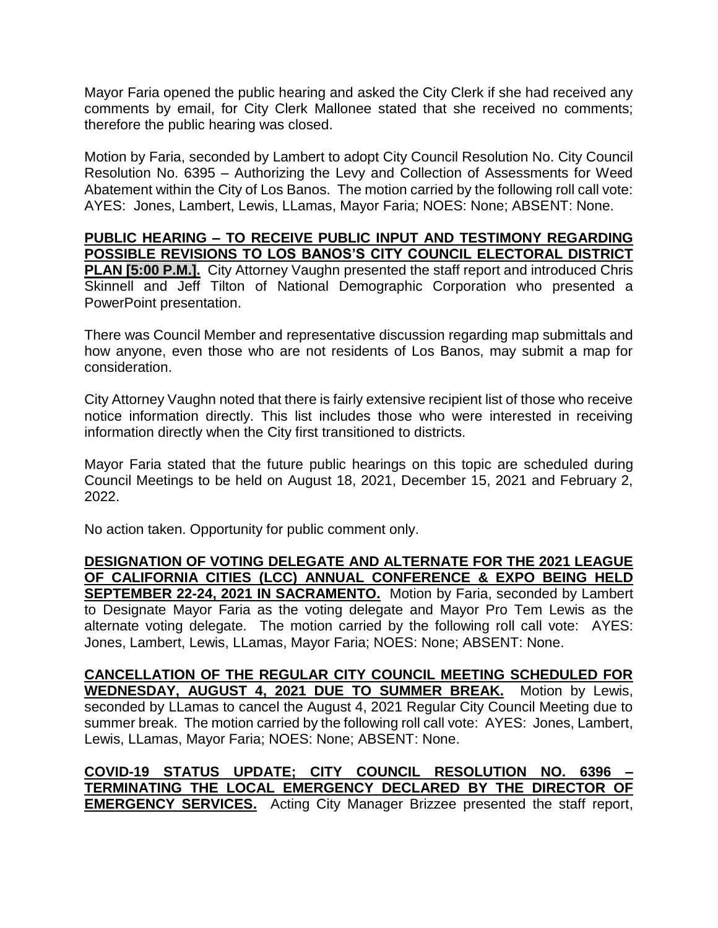Mayor Faria opened the public hearing and asked the City Clerk if she had received any comments by email, for City Clerk Mallonee stated that she received no comments; therefore the public hearing was closed.

Motion by Faria, seconded by Lambert to adopt City Council Resolution No. City Council Resolution No. 6395 – Authorizing the Levy and Collection of Assessments for Weed Abatement within the City of Los Banos. The motion carried by the following roll call vote: AYES: Jones, Lambert, Lewis, LLamas, Mayor Faria; NOES: None; ABSENT: None.

## **PUBLIC HEARING – TO RECEIVE PUBLIC INPUT AND TESTIMONY REGARDING POSSIBLE REVISIONS TO LOS BANOS'S CITY COUNCIL ELECTORAL DISTRICT**

**PLAN [5:00 P.M.].** City Attorney Vaughn presented the staff report and introduced Chris Skinnell and Jeff Tilton of National Demographic Corporation who presented a PowerPoint presentation.

There was Council Member and representative discussion regarding map submittals and how anyone, even those who are not residents of Los Banos, may submit a map for consideration.

City Attorney Vaughn noted that there is fairly extensive recipient list of those who receive notice information directly. This list includes those who were interested in receiving information directly when the City first transitioned to districts.

Mayor Faria stated that the future public hearings on this topic are scheduled during Council Meetings to be held on August 18, 2021, December 15, 2021 and February 2, 2022.

No action taken. Opportunity for public comment only.

**DESIGNATION OF VOTING DELEGATE AND ALTERNATE FOR THE 2021 LEAGUE OF CALIFORNIA CITIES (LCC) ANNUAL CONFERENCE & EXPO BEING HELD SEPTEMBER 22-24, 2021 IN SACRAMENTO.** Motion by Faria, seconded by Lambert to Designate Mayor Faria as the voting delegate and Mayor Pro Tem Lewis as the alternate voting delegate*.* The motion carried by the following roll call vote: AYES: Jones, Lambert, Lewis, LLamas, Mayor Faria; NOES: None; ABSENT: None.

**CANCELLATION OF THE REGULAR CITY COUNCIL MEETING SCHEDULED FOR WEDNESDAY, AUGUST 4, 2021 DUE TO SUMMER BREAK.** Motion by Lewis, seconded by LLamas to cancel the August 4, 2021 Regular City Council Meeting due to summer break.The motion carried by the following roll call vote: AYES: Jones, Lambert, Lewis, LLamas, Mayor Faria; NOES: None; ABSENT: None.

**COVID-19 STATUS UPDATE; CITY COUNCIL RESOLUTION NO. 6396 – TERMINATING THE LOCAL EMERGENCY DECLARED BY THE DIRECTOR OF EMERGENCY SERVICES.** Acting City Manager Brizzee presented the staff report,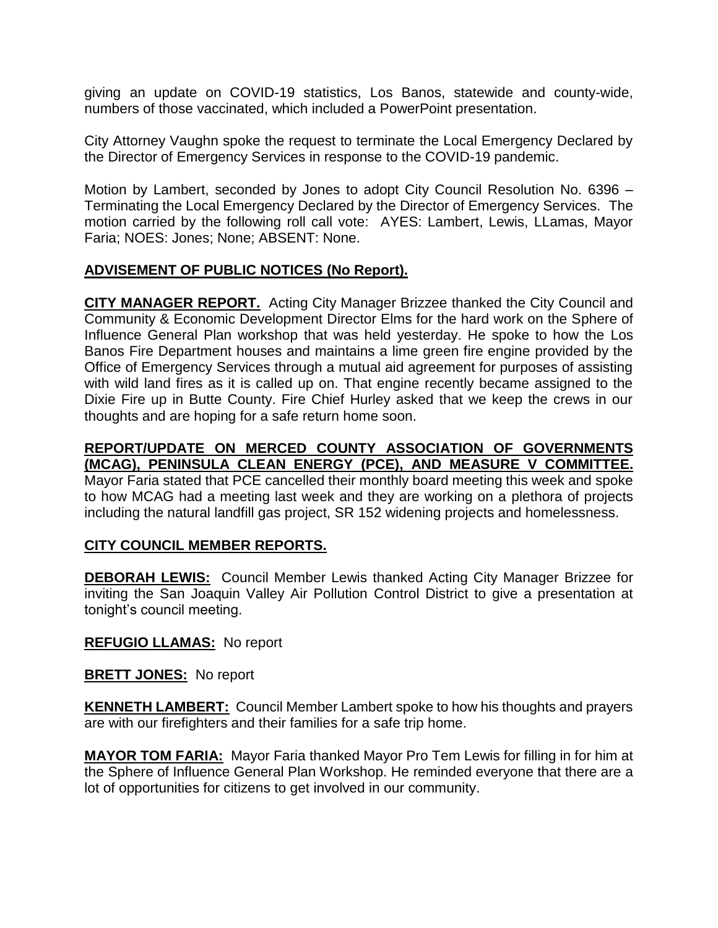giving an update on COVID-19 statistics, Los Banos, statewide and county-wide, numbers of those vaccinated, which included a PowerPoint presentation.

City Attorney Vaughn spoke the request to terminate the Local Emergency Declared by the Director of Emergency Services in response to the COVID-19 pandemic.

Motion by Lambert, seconded by Jones to adopt City Council Resolution No. 6396 – Terminating the Local Emergency Declared by the Director of Emergency Services. The motion carried by the following roll call vote: AYES: Lambert, Lewis, LLamas, Mayor Faria; NOES: Jones; None; ABSENT: None.

### **ADVISEMENT OF PUBLIC NOTICES (No Report).**

**CITY MANAGER REPORT.** Acting City Manager Brizzee thanked the City Council and Community & Economic Development Director Elms for the hard work on the Sphere of Influence General Plan workshop that was held yesterday. He spoke to how the Los Banos Fire Department houses and maintains a lime green fire engine provided by the Office of Emergency Services through a mutual aid agreement for purposes of assisting with wild land fires as it is called up on. That engine recently became assigned to the Dixie Fire up in Butte County. Fire Chief Hurley asked that we keep the crews in our thoughts and are hoping for a safe return home soon.

# **REPORT/UPDATE ON MERCED COUNTY ASSOCIATION OF GOVERNMENTS (MCAG), PENINSULA CLEAN ENERGY (PCE), AND MEASURE V COMMITTEE.**

Mayor Faria stated that PCE cancelled their monthly board meeting this week and spoke to how MCAG had a meeting last week and they are working on a plethora of projects including the natural landfill gas project, SR 152 widening projects and homelessness.

### **CITY COUNCIL MEMBER REPORTS.**

**DEBORAH LEWIS:** Council Member Lewis thanked Acting City Manager Brizzee for inviting the San Joaquin Valley Air Pollution Control District to give a presentation at tonight's council meeting.

#### **REFUGIO LLAMAS:** No report

#### **BRETT JONES:** No report

**KENNETH LAMBERT:** Council Member Lambert spoke to how his thoughts and prayers are with our firefighters and their families for a safe trip home.

**MAYOR TOM FARIA:** Mayor Faria thanked Mayor Pro Tem Lewis for filling in for him at the Sphere of Influence General Plan Workshop. He reminded everyone that there are a lot of opportunities for citizens to get involved in our community.